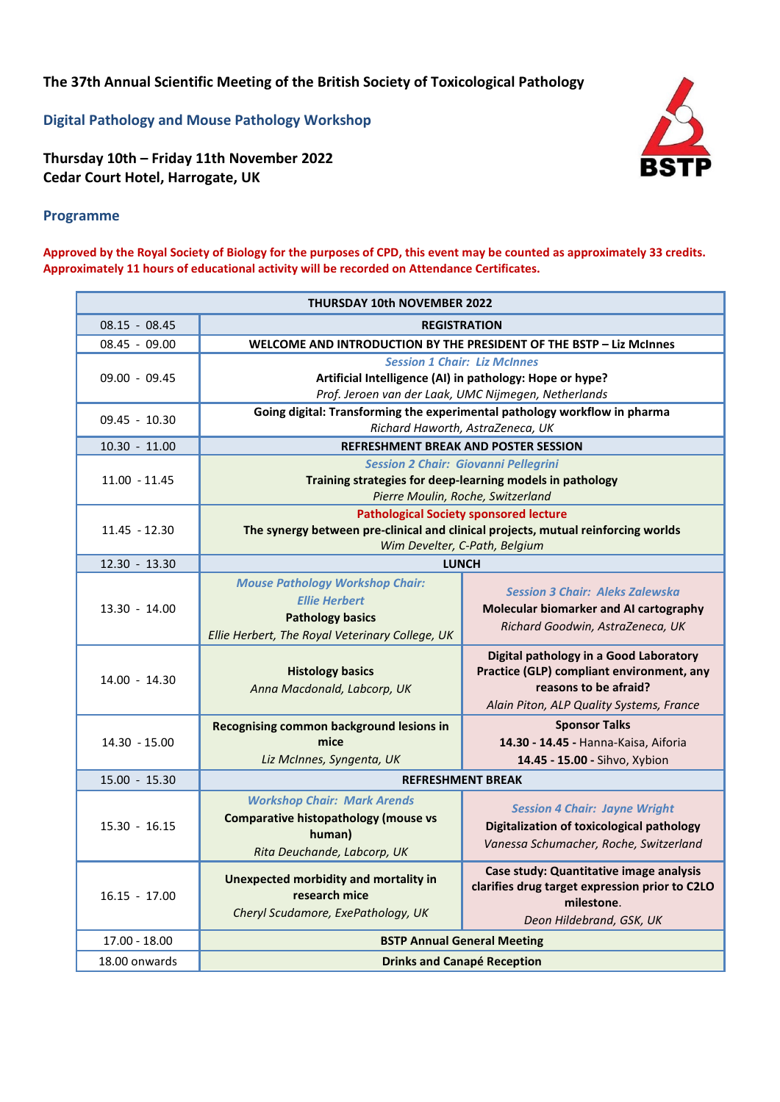**The 37th Annual Scientific Meeting of the British Society of Toxicological Pathology**

**Digital Pathology and Mouse Pathology Workshop**

**Thursday 10th – Friday 11th November 2022 Cedar Court Hotel, Harrogate, UK**



## **Programme**

**Approved by the Royal Society of Biology for the purposes of CPD, this event may be counted as approximately 33 credits. Approximately 11 hours of educational activity will be recorded on Attendance Certificates.** 

| <b>THURSDAY 10th NOVEMBER 2022</b> |                                                                                                          |                                                                                          |
|------------------------------------|----------------------------------------------------------------------------------------------------------|------------------------------------------------------------------------------------------|
| $08.15 - 08.45$                    | <b>REGISTRATION</b>                                                                                      |                                                                                          |
| 08.45 - 09.00                      | WELCOME AND INTRODUCTION BY THE PRESIDENT OF THE BSTP - Liz McInnes                                      |                                                                                          |
| 09.00 - 09.45                      | <b>Session 1 Chair: Liz McInnes</b>                                                                      |                                                                                          |
|                                    | Artificial Intelligence (AI) in pathology: Hope or hype?                                                 |                                                                                          |
|                                    | Prof. Jeroen van der Laak, UMC Nijmegen, Netherlands                                                     |                                                                                          |
| $09.45 - 10.30$                    | Going digital: Transforming the experimental pathology workflow in pharma                                |                                                                                          |
|                                    | Richard Haworth, AstraZeneca, UK                                                                         |                                                                                          |
| $10.30 - 11.00$                    | <b>REFRESHMENT BREAK AND POSTER SESSION</b>                                                              |                                                                                          |
| $11.00 - 11.45$                    | <b>Session 2 Chair: Giovanni Pellegrini</b><br>Training strategies for deep-learning models in pathology |                                                                                          |
|                                    | Pierre Moulin, Roche, Switzerland                                                                        |                                                                                          |
| $11.45 - 12.30$                    | <b>Pathological Society sponsored lecture</b>                                                            |                                                                                          |
|                                    | The synergy between pre-clinical and clinical projects, mutual reinforcing worlds                        |                                                                                          |
|                                    | Wim Develter, C-Path, Belgium                                                                            |                                                                                          |
| 12.30 - 13.30                      | <b>LUNCH</b>                                                                                             |                                                                                          |
|                                    | <b>Mouse Pathology Workshop Chair:</b>                                                                   |                                                                                          |
|                                    | <b>Ellie Herbert</b>                                                                                     | <b>Session 3 Chair: Aleks Zalewska</b>                                                   |
| $13.30 - 14.00$                    | <b>Pathology basics</b>                                                                                  | Molecular biomarker and AI cartography                                                   |
|                                    | Ellie Herbert, The Royal Veterinary College, UK                                                          | Richard Goodwin, AstraZeneca, UK                                                         |
|                                    |                                                                                                          | Digital pathology in a Good Laboratory                                                   |
|                                    | <b>Histology basics</b>                                                                                  | Practice (GLP) compliant environment, any                                                |
| 14.00 - 14.30                      | Anna Macdonald, Labcorp, UK                                                                              | reasons to be afraid?                                                                    |
|                                    |                                                                                                          | Alain Piton, ALP Quality Systems, France                                                 |
| $14.30 - 15.00$                    | <b>Recognising common background lesions in</b>                                                          | <b>Sponsor Talks</b>                                                                     |
|                                    | mice                                                                                                     | 14.30 - 14.45 - Hanna-Kaisa, Aiforia                                                     |
|                                    | Liz McInnes, Syngenta, UK                                                                                | 14.45 - 15.00 - Sihvo, Xybion                                                            |
| $15.00 - 15.30$                    | <b>REFRESHMENT BREAK</b>                                                                                 |                                                                                          |
| $15.30 - 16.15$                    | <b>Workshop Chair: Mark Arends</b>                                                                       |                                                                                          |
|                                    | <b>Comparative histopathology (mouse vs</b>                                                              | <b>Session 4 Chair: Jayne Wright</b><br><b>Digitalization of toxicological pathology</b> |
|                                    | human)                                                                                                   | Vanessa Schumacher, Roche, Switzerland                                                   |
|                                    | Rita Deuchande, Labcorp, UK                                                                              |                                                                                          |
| $16.15 - 17.00$                    | Unexpected morbidity and mortality in                                                                    | Case study: Quantitative image analysis                                                  |
|                                    | research mice                                                                                            | clarifies drug target expression prior to C2LO                                           |
|                                    | Cheryl Scudamore, ExePathology, UK                                                                       | milestone.                                                                               |
|                                    |                                                                                                          | Deon Hildebrand, GSK, UK                                                                 |
| 17.00 - 18.00                      | <b>BSTP Annual General Meeting</b>                                                                       |                                                                                          |
| 18.00 onwards                      | <b>Drinks and Canapé Reception</b>                                                                       |                                                                                          |